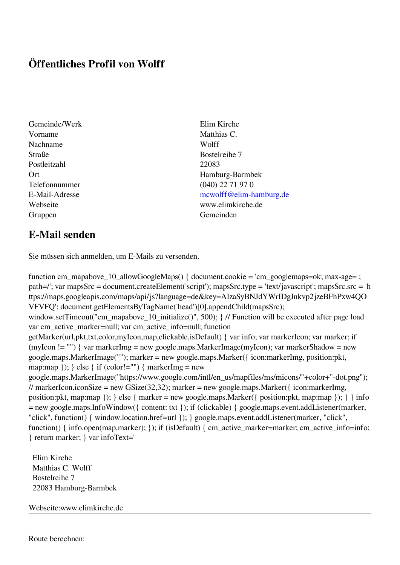## **Öffentliches Profil von Wolff**

- Gemeinde/Werk Elim Kirche Vorname Matthias C. Nachname Wolff Straße Bostelreihe 7 Postleitzahl 22083 Gruppen Gemeinden
- **E-Mail senden**

Sie müssen sich anmelden, um E-Mails zu versenden.

function cm\_mapabove\_10\_allowGoogleMaps() { document.cookie = 'cm\_googlemaps=ok; max-age= ; path=/'; var mapsSrc = document.createElement('script'); mapsSrc.type = 'text/javascript'; mapsSrc.src = 'h ttps://maps.googleapis.com/maps/api/js?language=de&key=AIzaSyBNJdYWrIDgJnkvp2jzeBFhPxw4QO VFVFQ'; document.getElementsByTagName('head')[0].appendChild(mapsSrc); window.setTimeout("cm\_mapabove\_10\_initialize()", 500); } // Function will be executed after page load var cm\_active\_marker=null; var cm\_active\_info=null; function getMarker(url,pkt,txt,color,myIcon,map,clickable,isDefault) { var info; var markerIcon; var marker; if (myIcon != "") { var markerImg = new google.maps.MarkerImage(myIcon); var markerShadow = new google.maps.MarkerImage(""); marker = new google.maps.Marker({ icon:markerImg, position:pkt, map:map  $\}$ ;  $\}$  else  $\{$  if (color!="")  $\{$  markerImg = new google.maps.MarkerImage("https://www.google.com/intl/en\_us/mapfiles/ms/micons/"+color+"-dot.png"); // markerIcon.iconSize = new GSize(32,32); marker = new google.maps.Marker({ $i$ con:markerImg, position:pkt, map:map }); } else { marker = new google.maps.Marker({ position:pkt, map:map }); } } info = new google.maps.InfoWindow({ content: txt }); if (clickable) { google.maps.event.addListener(marker, "click", function() { window.location.href=url }); } google.maps.event.addListener(marker, "click", function() { info.open(map,marker); }); if (isDefault) { cm\_active\_marker=marker; cm\_active\_info=info; } return marker; } var infoText='

 Elim Kirche Matthias C. Wolff Bostelreihe 7 22083 Hamburg-Barmbek

Webseite:www.elimkirche.de

Ort Hamburg-Barmbek Telefonnummer (040) 22 71 97 0 E-Mail-Adresse [mcwolff@elim-hamburg.de](mailto:mcwolff@elim-hamburg.de) Webseite www.elimkirche.de